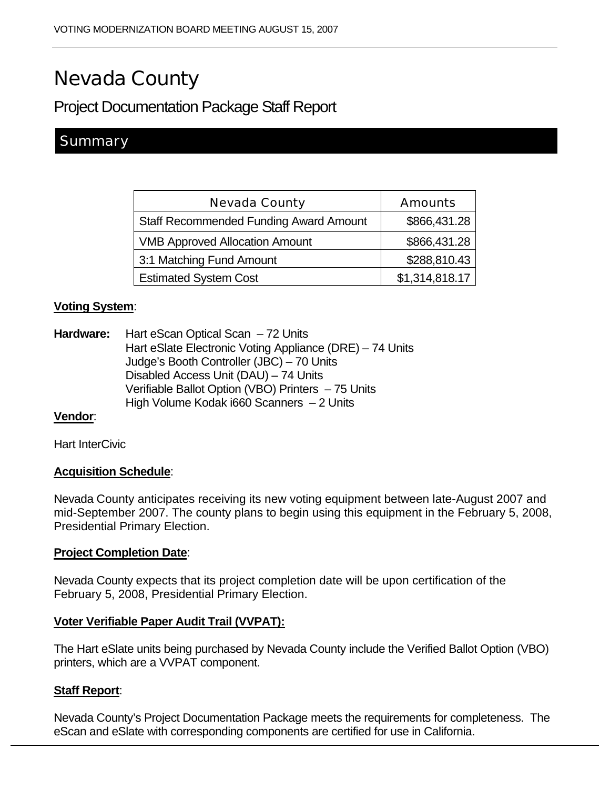# Nevada County

# Project Documentation Package Staff Report

# **Summary**

| <b>Nevada County</b>                          | <b>Amounts</b> |
|-----------------------------------------------|----------------|
| <b>Staff Recommended Funding Award Amount</b> | \$866,431.28   |
| <b>VMB Approved Allocation Amount</b>         | \$866,431.28   |
| 3:1 Matching Fund Amount                      | \$288,810.43   |
| <b>Estimated System Cost</b>                  | \$1,314,818.17 |

## **Voting System**:

**Hardware:** Hart eScan Optical Scan – 72 Units Hart eSlate Electronic Voting Appliance (DRE) – 74 Units Judge's Booth Controller (JBC) – 70 Units Disabled Access Unit (DAU) – 74 Units Verifiable Ballot Option (VBO) Printers – 75 Units High Volume Kodak i660 Scanners – 2 Units

#### **Vendor**:

Hart InterCivic

## **Acquisition Schedule**:

Nevada County anticipates receiving its new voting equipment between late-August 2007 and mid-September 2007. The county plans to begin using this equipment in the February 5, 2008, Presidential Primary Election.

#### **Project Completion Date**:

Nevada County expects that its project completion date will be upon certification of the February 5, 2008, Presidential Primary Election.

#### **Voter Verifiable Paper Audit Trail (VVPAT):**

The Hart eSlate units being purchased by Nevada County include the Verified Ballot Option (VBO) printers, which are a VVPAT component.

## **Staff Report**:

Nevada County's Project Documentation Package meets the requirements for completeness. The eScan and eSlate with corresponding components are certified for use in California.